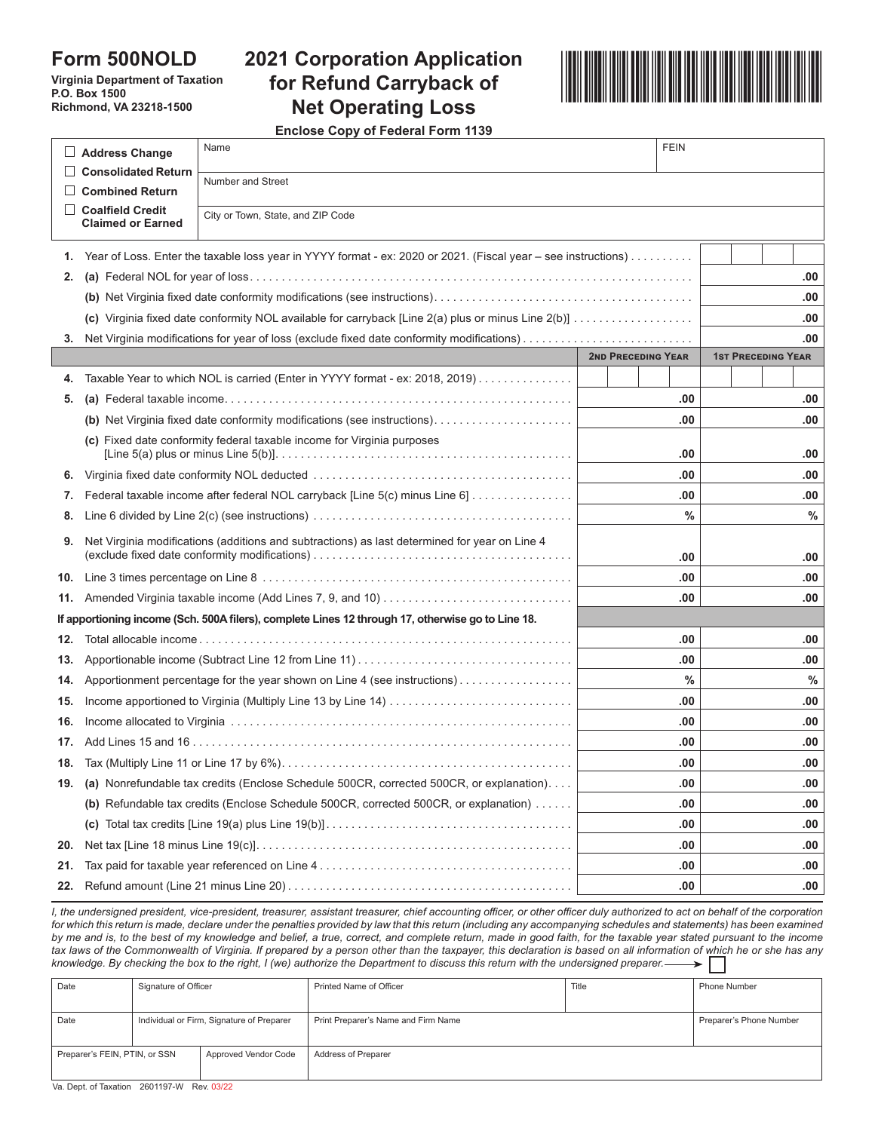## **Form 500NOLD**

**Virginia Department of Taxation P.O. Box 1500 Richmond, VA 23218-1500**

# **2021 Corporation Application and Server Server Application 2021 Corporation Application for Refund Carryback of Net Operating Loss**



**Enclose Copy of Federal Form 1139**

|     | Address Change                                                                                                                                                                                                         | Name                                                                                              | <b>FEIN</b> |      |     |     |               |  |  |
|-----|------------------------------------------------------------------------------------------------------------------------------------------------------------------------------------------------------------------------|---------------------------------------------------------------------------------------------------|-------------|------|-----|-----|---------------|--|--|
|     | <b>Consolidated Return</b><br>Number and Street                                                                                                                                                                        |                                                                                                   |             |      |     |     |               |  |  |
|     | <b>Combined Return</b>                                                                                                                                                                                                 |                                                                                                   |             |      |     |     |               |  |  |
|     | <b>Claimed or Earned</b>                                                                                                                                                                                               | <b>Coalfield Credit</b><br>City or Town, State, and ZIP Code                                      |             |      |     |     |               |  |  |
| 1.  | Year of Loss. Enter the taxable loss year in YYYY format - ex: 2020 or 2021. (Fiscal year - see instructions)                                                                                                          |                                                                                                   |             |      |     |     |               |  |  |
| 2.  |                                                                                                                                                                                                                        |                                                                                                   |             |      |     |     | .00           |  |  |
|     |                                                                                                                                                                                                                        |                                                                                                   |             |      |     |     | .00           |  |  |
|     |                                                                                                                                                                                                                        | .00                                                                                               |             |      |     |     |               |  |  |
| 3.  |                                                                                                                                                                                                                        | .00                                                                                               |             |      |     |     |               |  |  |
|     |                                                                                                                                                                                                                        | <b>2ND PRECEDING YEAR</b>                                                                         |             |      |     |     |               |  |  |
| 4.  |                                                                                                                                                                                                                        | Taxable Year to which NOL is carried (Enter in YYYY format - ex: 2018, 2019)                      |             |      |     |     |               |  |  |
| 5.  |                                                                                                                                                                                                                        |                                                                                                   |             | .00  |     |     | .00           |  |  |
|     | (b) Net Virginia fixed date conformity modifications (see instructions)                                                                                                                                                |                                                                                                   | .00         |      |     |     |               |  |  |
|     | (c) Fixed date conformity federal taxable income for Virginia purposes<br>[Line 5(a) plus or minus Line 5(b)]. $\dots \dots \dots \dots \dots \dots \dots \dots \dots \dots \dots \dots \dots \dots \dots \dots \dots$ |                                                                                                   | .00         |      |     |     |               |  |  |
| 6.  |                                                                                                                                                                                                                        |                                                                                                   | .00         |      |     |     |               |  |  |
| 7.  | Federal taxable income after federal NOL carryback [Line 5(c) minus Line 6]                                                                                                                                            |                                                                                                   |             | .00  |     |     | .00           |  |  |
| 8.  |                                                                                                                                                                                                                        |                                                                                                   |             | $\%$ |     |     | $\frac{0}{0}$ |  |  |
| 9.  | Net Virginia modifications (additions and subtractions) as last determined for year on Line 4                                                                                                                          |                                                                                                   |             |      |     |     |               |  |  |
|     |                                                                                                                                                                                                                        | .00                                                                                               |             | .00  |     |     |               |  |  |
| 10. |                                                                                                                                                                                                                        |                                                                                                   |             | .00  |     |     | .00.          |  |  |
| 11. |                                                                                                                                                                                                                        |                                                                                                   | .00         |      |     |     |               |  |  |
|     |                                                                                                                                                                                                                        | If apportioning income (Sch. 500A filers), complete Lines 12 through 17, otherwise go to Line 18. |             |      |     |     |               |  |  |
| 12. |                                                                                                                                                                                                                        |                                                                                                   |             | .00  |     |     | .00           |  |  |
| 13. |                                                                                                                                                                                                                        |                                                                                                   |             | .00  |     | .00 |               |  |  |
| 14. | Apportionment percentage for the year shown on Line 4 (see instructions)                                                                                                                                               |                                                                                                   |             | $\%$ |     |     | $\%$          |  |  |
| 15. |                                                                                                                                                                                                                        |                                                                                                   | .00         |      | .00 |     |               |  |  |
| 16. |                                                                                                                                                                                                                        |                                                                                                   | .00         |      | .00 |     |               |  |  |
| 17. |                                                                                                                                                                                                                        |                                                                                                   | .00.        |      | .00 |     |               |  |  |
|     |                                                                                                                                                                                                                        |                                                                                                   | .00         |      | .00 |     |               |  |  |
| 19. | (a) Nonrefundable tax credits (Enclose Schedule 500CR, corrected 500CR, or explanation).                                                                                                                               |                                                                                                   |             | .00  |     |     | .00           |  |  |
|     | (b) Refundable tax credits (Enclose Schedule 500CR, corrected 500CR, or explanation)                                                                                                                                   |                                                                                                   |             | .00  |     | .00 |               |  |  |
|     |                                                                                                                                                                                                                        |                                                                                                   |             |      | .00 |     | .00           |  |  |
| 20. |                                                                                                                                                                                                                        |                                                                                                   |             | .00  |     | .00 |               |  |  |
| 21. |                                                                                                                                                                                                                        |                                                                                                   |             | .00  |     |     | .00           |  |  |
| 22. |                                                                                                                                                                                                                        |                                                                                                   |             | .00  | .00 |     |               |  |  |

*I, the undersigned president, vice-president, treasurer, assistant treasurer, chief accounting officer, or other officer duly authorized to act on behalf of the corporation*  for which this return is made, declare under the penalties provided by law that this return (including any accompanying schedules and statements) has been examined by me and is, to the best of my knowledge and belief, a true, correct, and complete return, made in good faith, for the taxable year stated pursuant to the income *tax laws of the Commonwealth of Virginia. If prepared by a person other than the taxpayer, this declaration is based on all information of which he or she has any knowledge. By checking the box to the right, I (we) authorize the Department to discuss this return with the undersigned preparer.*

| Date                          | Signature of Officer                      |                      | Printed Name of Officer             | Title | <b>Phone Number</b>     |  |
|-------------------------------|-------------------------------------------|----------------------|-------------------------------------|-------|-------------------------|--|
| Date                          | Individual or Firm, Signature of Preparer |                      | Print Preparer's Name and Firm Name |       | Preparer's Phone Number |  |
| Preparer's FEIN, PTIN, or SSN |                                           | Approved Vendor Code | Address of Preparer                 |       |                         |  |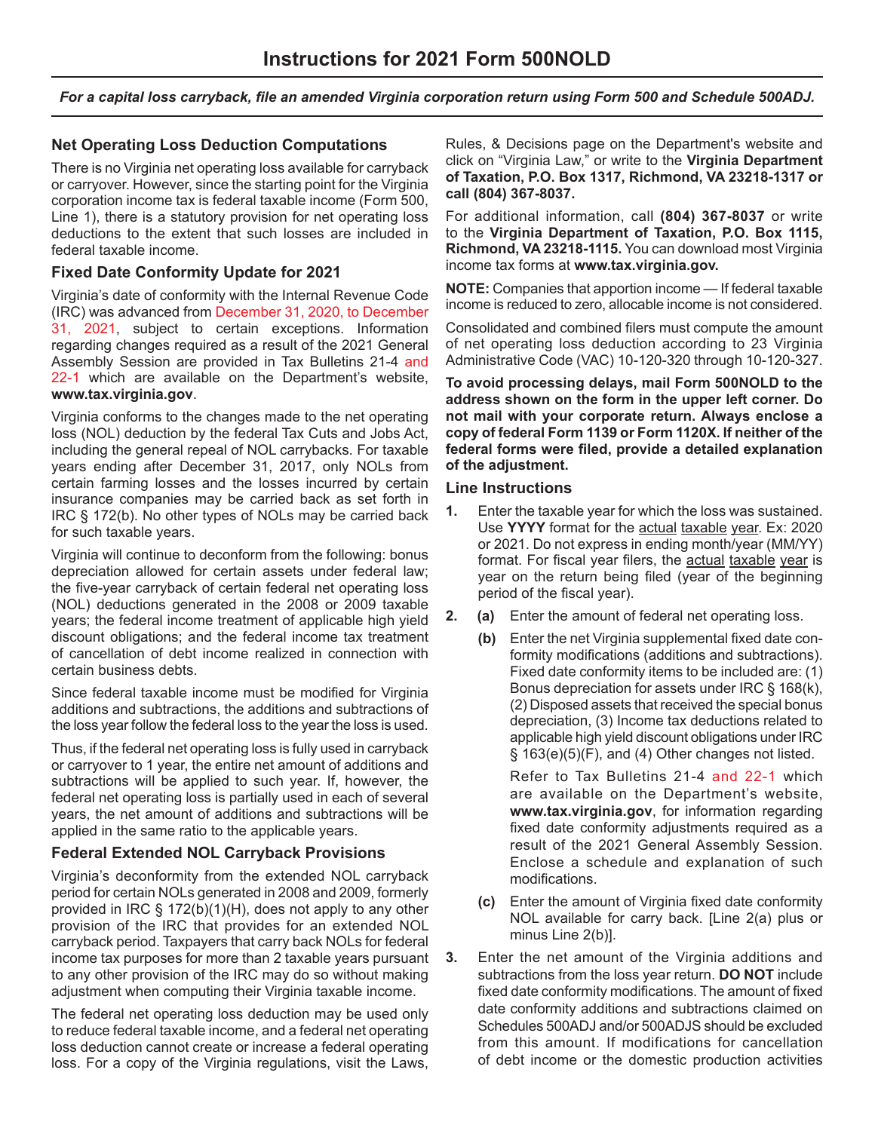*For a capital loss carryback, file an amended Virginia corporation return using Form 500 and Schedule 500ADJ.*

### **Net Operating Loss Deduction Computations**

There is no Virginia net operating loss available for carryback or carryover. However, since the starting point for the Virginia corporation income tax is federal taxable income (Form 500, Line 1), there is a statutory provision for net operating loss deductions to the extent that such losses are included in federal taxable income.

#### **Fixed Date Conformity Update for 2021**

Virginia's date of conformity with the Internal Revenue Code (IRC) was advanced from December 31, 2020, to December 31, 2021, subject to certain exceptions. Information regarding changes required as a result of the 2021 General Assembly Session are provided in Tax Bulletins 21-4 and 22-1 which are available on the Department's website, **www.tax.virginia.gov**.

Virginia conforms to the changes made to the net operating loss (NOL) deduction by the federal Tax Cuts and Jobs Act, including the general repeal of NOL carrybacks. For taxable years ending after December 31, 2017, only NOLs from certain farming losses and the losses incurred by certain insurance companies may be carried back as set forth in IRC § 172(b). No other types of NOLs may be carried back for such taxable years.

Virginia will continue to deconform from the following: bonus depreciation allowed for certain assets under federal law; the five-year carryback of certain federal net operating loss (NOL) deductions generated in the 2008 or 2009 taxable years; the federal income treatment of applicable high yield discount obligations; and the federal income tax treatment of cancellation of debt income realized in connection with certain business debts.

Since federal taxable income must be modified for Virginia additions and subtractions, the additions and subtractions of the loss year follow the federal loss to the year the loss is used.

Thus, if the federal net operating loss is fully used in carryback or carryover to 1 year, the entire net amount of additions and subtractions will be applied to such year. If, however, the federal net operating loss is partially used in each of several years, the net amount of additions and subtractions will be applied in the same ratio to the applicable years.

#### **Federal Extended NOL Carryback Provisions**

Virginia's deconformity from the extended NOL carryback period for certain NOLs generated in 2008 and 2009, formerly provided in IRC § 172(b)(1)(H), does not apply to any other provision of the IRC that provides for an extended NOL carryback period. Taxpayers that carry back NOLs for federal income tax purposes for more than 2 taxable years pursuant to any other provision of the IRC may do so without making adjustment when computing their Virginia taxable income.

The federal net operating loss deduction may be used only to reduce federal taxable income, and a federal net operating loss deduction cannot create or increase a federal operating loss. For a copy of the Virginia regulations, visit the Laws,

Rules, & Decisions page on the Department's website and click on "Virginia Law," or write to the **Virginia Department of Taxation, P.O. Box 1317, Richmond, VA 23218-1317 or call (804) 367-8037.**

For additional information, call **(804) 367-8037** or write to the **Virginia Department of Taxation, P.O. Box 1115, Richmond, VA 23218-1115.** You can download most Virginia income tax forms at **www.tax.virginia.gov.**

**NOTE:** Companies that apportion income — If federal taxable income is reduced to zero, allocable income is not considered.

Consolidated and combined filers must compute the amount of net operating loss deduction according to 23 Virginia Administrative Code (VAC) 10-120-320 through 10-120-327.

**To avoid processing delays, mail Form 500NOLD to the address shown on the form in the upper left corner. Do not mail with your corporate return. Always enclose a copy of federal Form 1139 or Form 1120X. If neither of the federal forms were filed, provide a detailed explanation of the adjustment.**

#### **Line Instructions**

- **1.** Enter the taxable year for which the loss was sustained. Use **YYYY** format for the actual taxable year. Ex: 2020 or 2021. Do not express in ending month/year (MM/YY) format. For fiscal year filers, the actual taxable year is year on the return being filed (year of the beginning period of the fiscal year).
- **2. (a)** Enter the amount of federal net operating loss.
	- **(b)** Enter the net Virginia supplemental fixed date conformity modifications (additions and subtractions). Fixed date conformity items to be included are: (1) Bonus depreciation for assets under IRC § 168(k), (2) Disposed assets that received the special bonus depreciation, (3) Income tax deductions related to applicable high yield discount obligations under IRC § 163(e)(5)(F), and (4) Other changes not listed.

Refer to Tax Bulletins 21-4 and 22-1 which are available on the Department's website, **www.tax.virginia.gov**, for information regarding fixed date conformity adjustments required as a result of the 2021 General Assembly Session. Enclose a schedule and explanation of such modifications.

- **(c)** Enter the amount of Virginia fixed date conformity NOL available for carry back. [Line 2(a) plus or minus Line 2(b)].
- **3.** Enter the net amount of the Virginia additions and subtractions from the loss year return. **DO NOT** include fixed date conformity modifications. The amount of fixed date conformity additions and subtractions claimed on Schedules 500ADJ and/or 500ADJS should be excluded from this amount. If modifications for cancellation of debt income or the domestic production activities